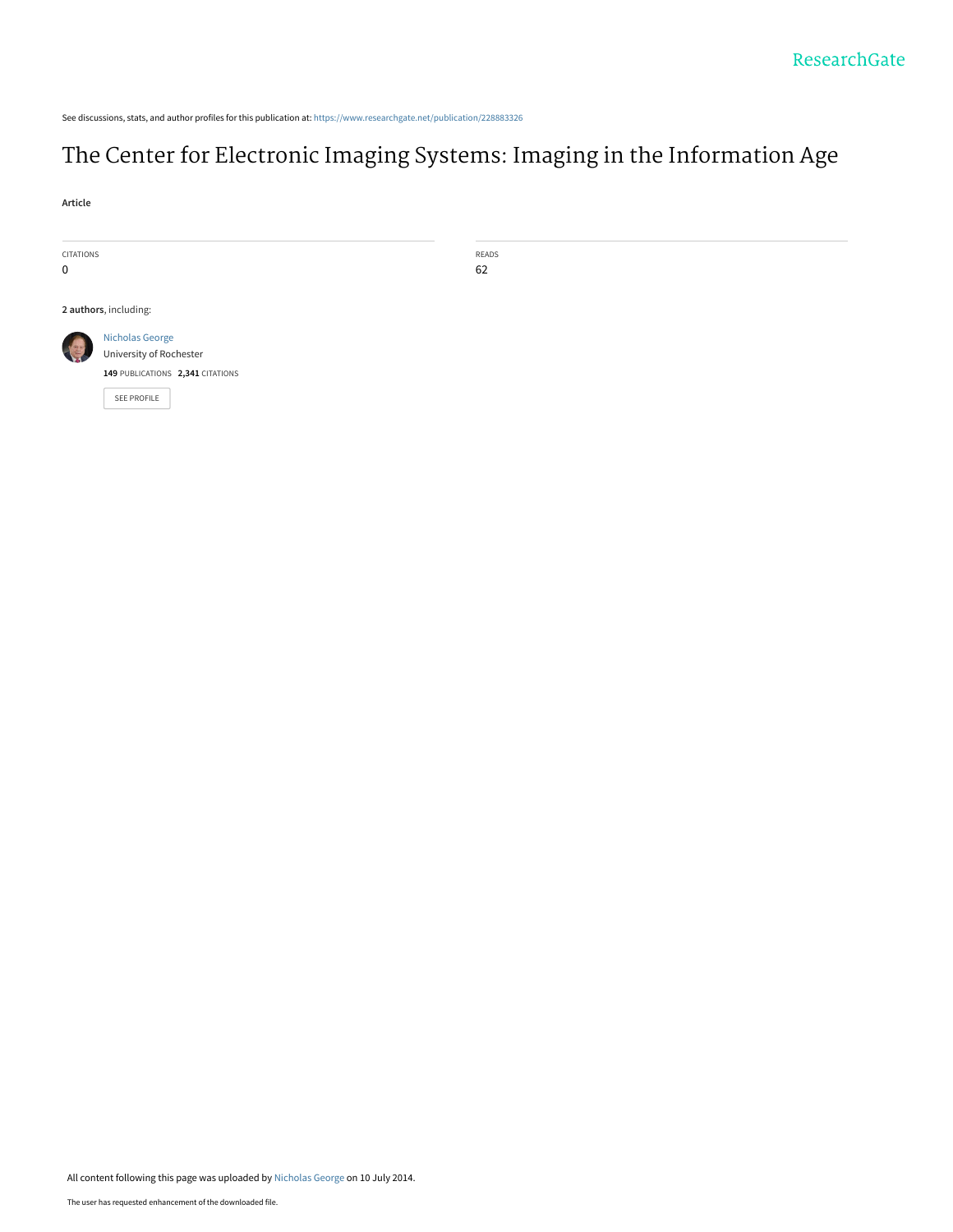See discussions, stats, and author profiles for this publication at: https://www.researchgate.net/publication/228883326

# The Center for Electronic Imaging Systems: Imaging in the Information Age

 $READS$ 62

**Article** 

| <b>CITATIONS</b> |                                  |
|------------------|----------------------------------|
| $\Omega$         |                                  |
|                  |                                  |
|                  | 2 authors, including:            |
|                  | <b>Nicholas George</b>           |
|                  | University of Rochester          |
|                  | 149 PUBLICATIONS 2,341 CITATIONS |
|                  | <b>SEE PROFILE</b>               |
|                  |                                  |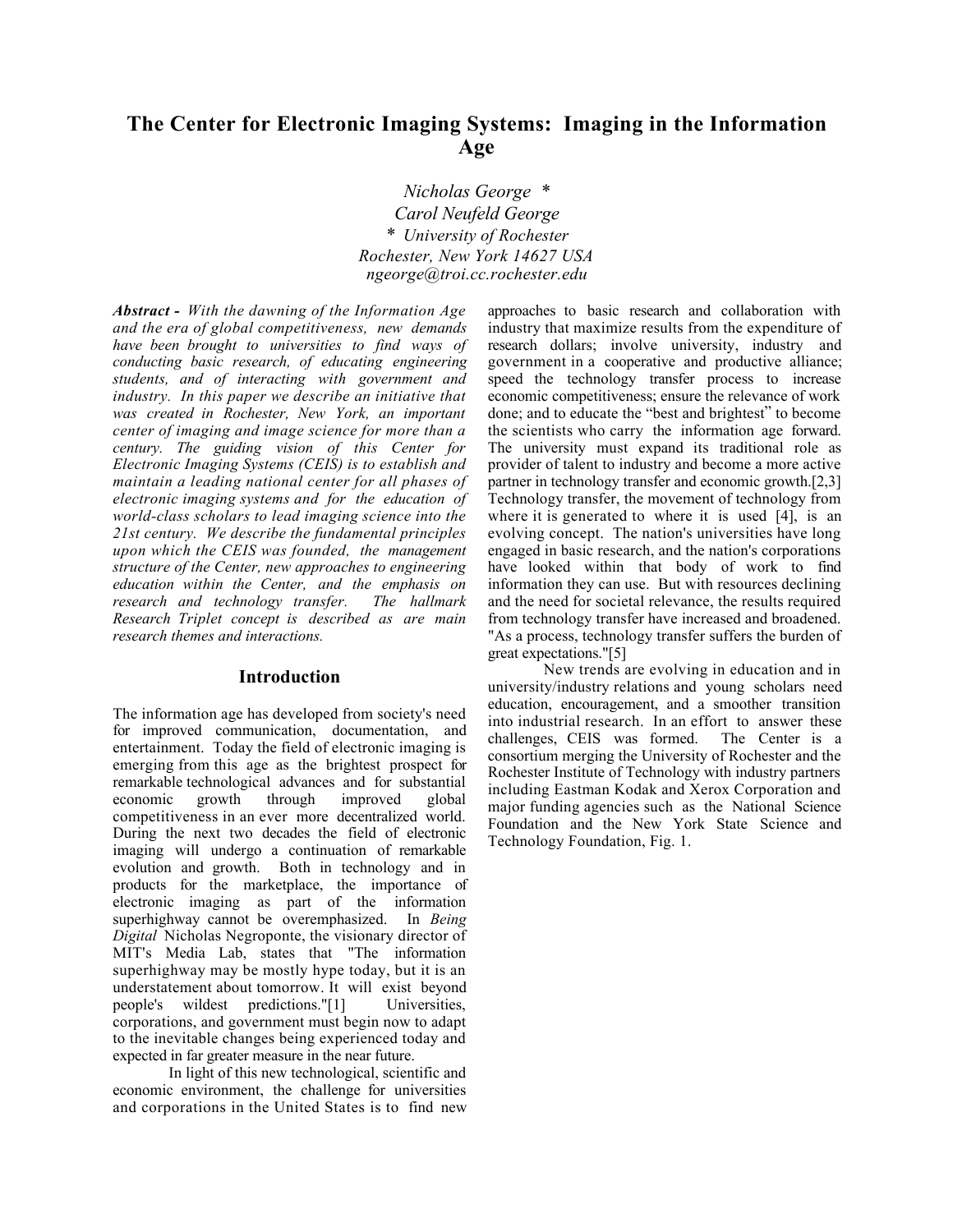## **The Center for Electronic Imaging Systems: Imaging in the Information Age**

*Nicholas George \* Carol Neufeld George \* University of Rochester Rochester, New York 14627 USA ngeorge@troi.cc.rochester.edu*

*Abstract - With the dawning of the Information Age and the era of global competitiveness, new demands have been brought to universities to find ways of conducting basic research, of educating engineering students, and of interacting with government and industry. In this paper we describe an initiative that was created in Rochester, New York, an important center of imaging and image science for more than a century. The guiding vision of this Center for Electronic Imaging Systems (CEIS) is to establish and maintain a leading national center for all phases of electronic imaging systems and for the education of world-class scholars to lead imaging science into the 21st century. We describe the fundamental principles upon which the CEIS was founded, the management structure of the Center, new approaches to engineering education within the Center, and the emphasis on research and technology transfer. The hallmark Research Triplet concept is described as are main research themes and interactions.*

#### **Introduction**

The information age has developed from society's need for improved communication, documentation, and entertainment. Today the field of electronic imaging is emerging from this age as the brightest prospect for remarkable technological advances and for substantial economic growth through improved global economic growth through improved competitiveness in an ever more decentralized world. During the next two decades the field of electronic imaging will undergo a continuation of remarkable evolution and growth. Both in technology and in products for the marketplace, the importance of electronic imaging as part of the information superhighway cannot be overemphasized. In *Being Digital* Nicholas Negroponte, the visionary director of MIT's Media Lab, states that "The information superhighway may be mostly hype today, but it is an understatement about tomorrow. It will exist beyond people's wildest predictions."[1] Universities, corporations, and government must begin now to adapt to the inevitable changes being experienced today and expected in far greater measure in the near future.

In light of this new technological, scientific and economic environment, the challenge for universities and corporations in the United States is to find new

approaches to basic research and collaboration with industry that maximize results from the expenditure of research dollars; involve university, industry and government in a cooperative and productive alliance; speed the technology transfer process to increase economic competitiveness; ensure the relevance of work done; and to educate the "best and brightest" to become the scientists who carry the information age forward. The university must expand its traditional role as provider of talent to industry and become a more active partner in technology transfer and economic growth.[2,3] Technology transfer, the movement of technology from where it is generated to where it is used [4], is an evolving concept. The nation's universities have long engaged in basic research, and the nation's corporations have looked within that body of work to find information they can use. But with resources declining and the need for societal relevance, the results required from technology transfer have increased and broadened. "As a process, technology transfer suffers the burden of great expectations."[5]

New trends are evolving in education and in university/industry relations and young scholars need education, encouragement, and a smoother transition into industrial research. In an effort to answer these challenges, CEIS was formed. The Center is a consortium merging the University of Rochester and the Rochester Institute of Technology with industry partners including Eastman Kodak and Xerox Corporation and major funding agencies such as the National Science Foundation and the New York State Science and Technology Foundation, Fig. 1.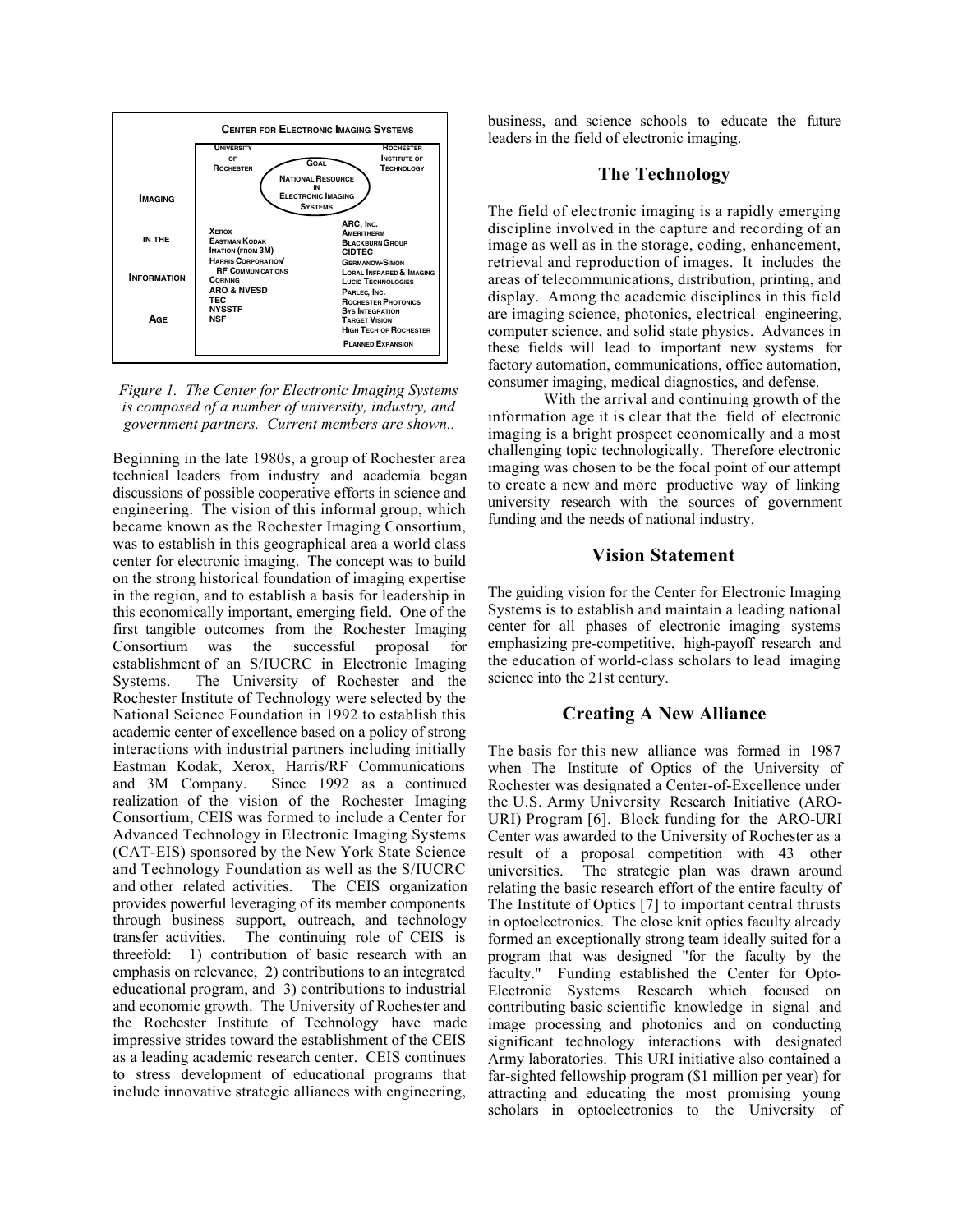



Beginning in the late 1980s, a group of Rochester area technical leaders from industry and academia began discussions of possible cooperative efforts in science and engineering. The vision of this informal group, which became known as the Rochester Imaging Consortium, was to establish in this geographical area a world class center for electronic imaging. The concept was to build on the strong historical foundation of imaging expertise in the region, and to establish a basis for leadership in this economically important, emerging field. One of the first tangible outcomes from the Rochester Imaging Consortium was the successful proposal for establishment of an S/IUCRC in Electronic Imaging Systems. The University of Rochester and the Rochester Institute of Technology were selected by the National Science Foundation in 1992 to establish this academic center of excellence based on a policy of strong interactions with industrial partners including initially Eastman Kodak, Xerox, Harris/RF Communications and 3M Company. Since 1992 as a continued realization of the vision of the Rochester Imaging Consortium, CEIS was formed to include a Center for Advanced Technology in Electronic Imaging Systems (CAT-EIS) sponsored by the New York State Science and Technology Foundation as well as the S/IUCRC and other related activities. The CEIS organization provides powerful leveraging of its member components through business support, outreach, and technology transfer activities. The continuing role of CEIS is threefold: 1) contribution of basic research with an emphasis on relevance, 2) contributions to an integrated educational program, and 3) contributions to industrial and economic growth. The University of Rochester and the Rochester Institute of Technology have made impressive strides toward the establishment of the CEIS as a leading academic research center. CEIS continues to stress development of educational programs that include innovative strategic alliances with engineering,

business, and science schools to educate the future leaders in the field of electronic imaging.

### **The Technology**

The field of electronic imaging is a rapidly emerging discipline involved in the capture and recording of an image as well as in the storage, coding, enhancement, retrieval and reproduction of images. It includes the areas of telecommunications, distribution, printing, and display. Among the academic disciplines in this field are imaging science, photonics, electrical engineering, computer science, and solid state physics. Advances in these fields will lead to important new systems for factory automation, communications, office automation, consumer imaging, medical diagnostics, and defense.

With the arrival and continuing growth of the information age it is clear that the field of electronic imaging is a bright prospect economically and a most challenging topic technologically. Therefore electronic imaging was chosen to be the focal point of our attempt to create a new and more productive way of linking university research with the sources of government funding and the needs of national industry.

## **Vision Statement**

The guiding vision for the Center for Electronic Imaging Systems is to establish and maintain a leading national center for all phases of electronic imaging systems emphasizing pre-competitive, high-payoff research and the education of world-class scholars to lead imaging science into the 21st century.

## **Creating A New Alliance**

The basis for this new alliance was formed in 1987 when The Institute of Optics of the University of Rochester was designated a Center-of-Excellence under the U.S. Army University Research Initiative (ARO-URI) Program [6]. Block funding for the ARO-URI Center was awarded to the University of Rochester as a result of a proposal competition with 43 other universities. The strategic plan was drawn around relating the basic research effort of the entire faculty of The Institute of Optics [7] to important central thrusts in optoelectronics. The close knit optics faculty already formed an exceptionally strong team ideally suited for a program that was designed "for the faculty by the faculty." Funding established the Center for Opto-Electronic Systems Research which focused on contributing basic scientific knowledge in signal and image processing and photonics and on conducting significant technology interactions with designated Army laboratories. This URI initiative also contained a far-sighted fellowship program (\$1 million per year) for attracting and educating the most promising young scholars in optoelectronics to the University of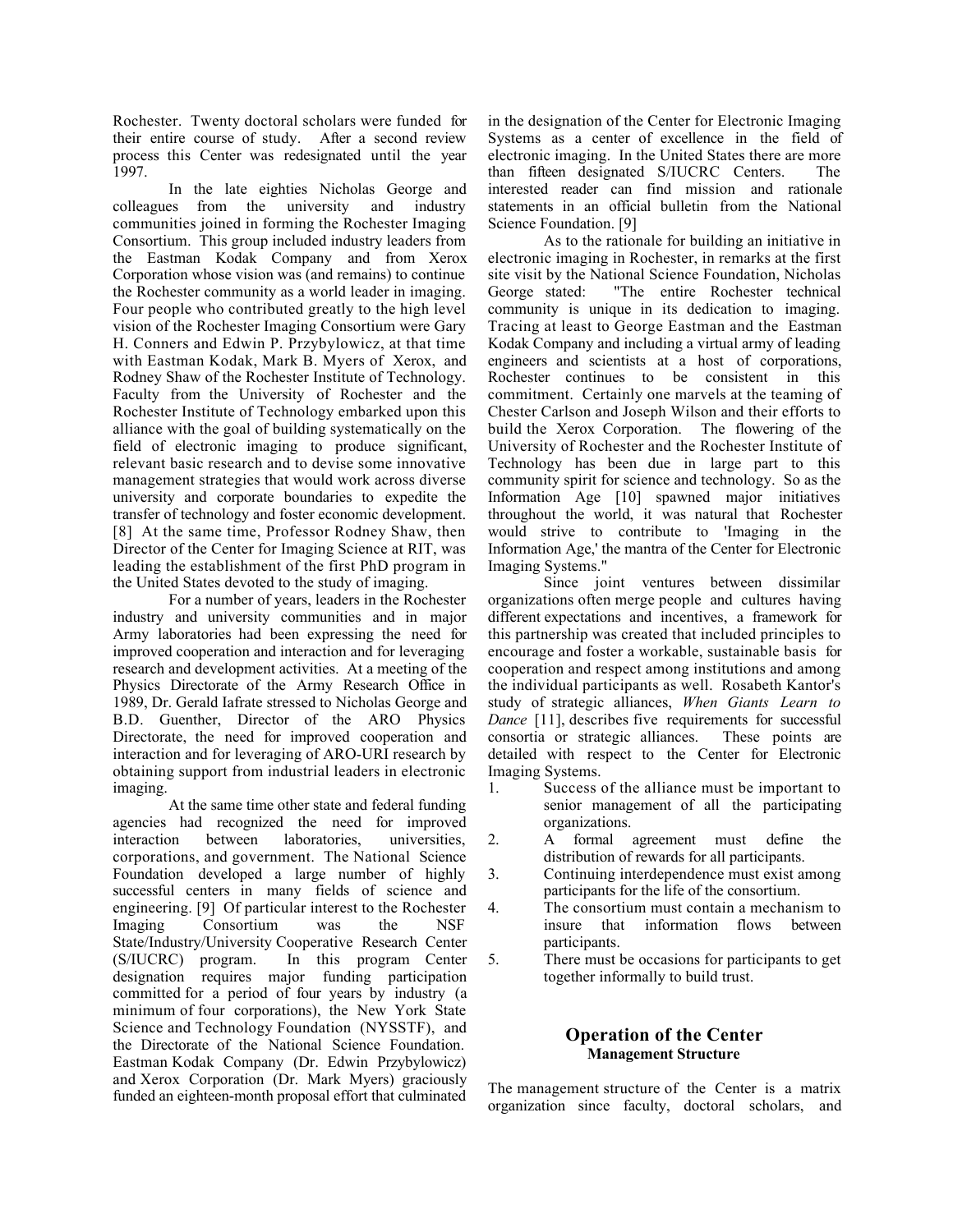Rochester. Twenty doctoral scholars were funded for their entire course of study. After a second review process this Center was redesignated until the year 1997.

In the late eighties Nicholas George and colleagues from the university and industry communities joined in forming the Rochester Imaging Consortium. This group included industry leaders from the Eastman Kodak Company and from Xerox Corporation whose vision was (and remains) to continue the Rochester community as a world leader in imaging. Four people who contributed greatly to the high level vision of the Rochester Imaging Consortium were Gary H. Conners and Edwin P. Przybylowicz, at that time with Eastman Kodak, Mark B. Myers of Xerox, and Rodney Shaw of the Rochester Institute of Technology. Faculty from the University of Rochester and the Rochester Institute of Technology embarked upon this alliance with the goal of building systematically on the field of electronic imaging to produce significant, relevant basic research and to devise some innovative management strategies that would work across diverse university and corporate boundaries to expedite the transfer of technology and foster economic development. [8] At the same time, Professor Rodney Shaw, then Director of the Center for Imaging Science at RIT, was leading the establishment of the first PhD program in the United States devoted to the study of imaging.

For a number of years, leaders in the Rochester industry and university communities and in major Army laboratories had been expressing the need for improved cooperation and interaction and for leveraging research and development activities. At a meeting of the Physics Directorate of the Army Research Office in 1989, Dr. Gerald Iafrate stressed to Nicholas George and B.D. Guenther, Director of the ARO Physics Directorate, the need for improved cooperation and interaction and for leveraging of ARO-URI research by obtaining support from industrial leaders in electronic imaging.

At the same time other state and federal funding agencies had recognized the need for improved interaction between laboratories, universities, corporations, and government. The National Science Foundation developed a large number of highly successful centers in many fields of science and engineering. [9] Of particular interest to the Rochester Imaging Consortium was the NSF State/Industry/University Cooperative Research Center (S/IUCRC) program. In this program Center designation requires major funding participation committed for a period of four years by industry (a minimum of four corporations), the New York State Science and Technology Foundation (NYSSTF), and the Directorate of the National Science Foundation. Eastman Kodak Company (Dr. Edwin Przybylowicz) and Xerox Corporation (Dr. Mark Myers) graciously funded an eighteen-month proposal effort that culminated

in the designation of the Center for Electronic Imaging Systems as a center of excellence in the field of electronic imaging. In the United States there are more than fifteen designated S/IUCRC Centers. The interested reader can find mission and rationale statements in an official bulletin from the National Science Foundation. [9]

As to the rationale for building an initiative in electronic imaging in Rochester, in remarks at the first site visit by the National Science Foundation, Nicholas George stated: "The entire Rochester technical community is unique in its dedication to imaging. Tracing at least to George Eastman and the Eastman Kodak Company and including a virtual army of leading engineers and scientists at a host of corporations, Rochester continues to be consistent in this commitment. Certainly one marvels at the teaming of Chester Carlson and Joseph Wilson and their efforts to build the Xerox Corporation. The flowering of the University of Rochester and the Rochester Institute of Technology has been due in large part to this community spirit for science and technology. So as the Information Age [10] spawned major initiatives throughout the world, it was natural that Rochester would strive to contribute to 'Imaging in the Information Age,' the mantra of the Center for Electronic Imaging Systems."

Since joint ventures between dissimilar organizations often merge people and cultures having different expectations and incentives, a framework for this partnership was created that included principles to encourage and foster a workable, sustainable basis for cooperation and respect among institutions and among the individual participants as well. Rosabeth Kantor's study of strategic alliances, *When Giants Learn to Dance* [11], describes five requirements for successful consortia or strategic alliances. These points are detailed with respect to the Center for Electronic Imaging Systems.

- 1. Success of the alliance must be important to senior management of all the participating organizations.
- 2. A formal agreement must define the distribution of rewards for all participants.
- 3. Continuing interdependence must exist among participants for the life of the consortium.
- 4. The consortium must contain a mechanism to insure that information flows between participants.
- 5. There must be occasions for participants to get together informally to build trust.

## **Operation of the Center Management Structure**

The management structure of the Center is a matrix organization since faculty, doctoral scholars, and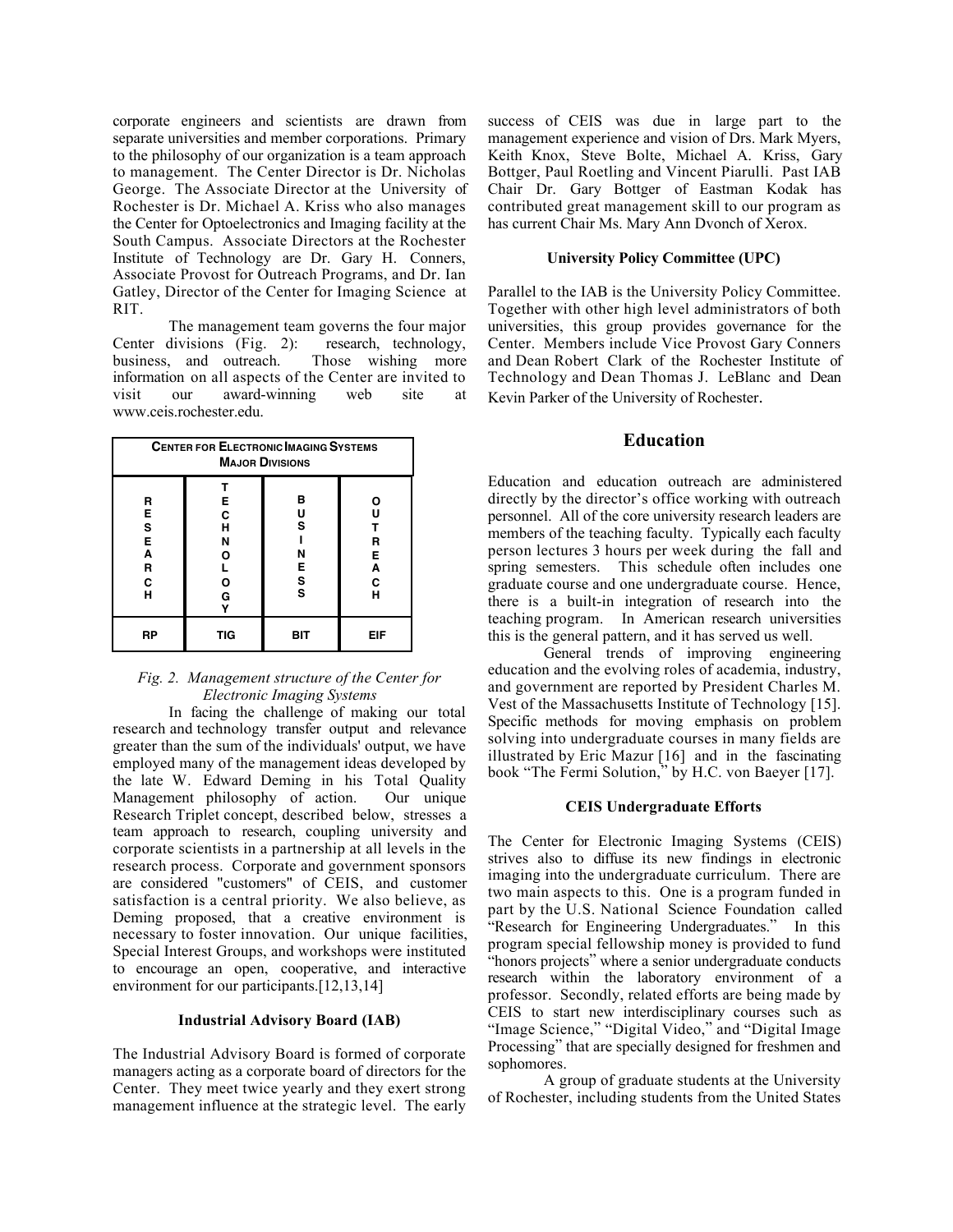corporate engineers and scientists are drawn from separate universities and member corporations. Primary to the philosophy of our organization is a team approach to management. The Center Director is Dr. Nicholas George. The Associate Director at the University of Rochester is Dr. Michael A. Kriss who also manages the Center for Optoelectronics and Imaging facility at the South Campus. Associate Directors at the Rochester Institute of Technology are Dr. Gary H. Conners, Associate Provost for Outreach Programs, and Dr. Ian Gatley, Director of the Center for Imaging Science at RIT.

The management team governs the four major Center divisions (Fig. 2): research, technology, business, and outreach. Those wishing more information on all aspects of the Center are invited to visit our award-winning web site at www.ceis.rochester.edu.

| <b>CENTER FOR ELECTRONIC IMAGING SYSTEMS</b><br><b>MAJOR DIVISIONS</b> |                                 |                                        |                                 |  |
|------------------------------------------------------------------------|---------------------------------|----------------------------------------|---------------------------------|--|
| R<br>Е<br>S<br>Е<br>A<br>R<br>C<br>н                                   | Е<br>C<br>H<br>N<br>O<br>0<br>G | в<br>U<br>S<br>Ν<br>E<br>$\frac{s}{s}$ | Ο<br>U<br>R<br>E<br>Ā<br>C<br>н |  |
| RP                                                                     | TIG                             | BIT                                    | EIF                             |  |

#### *Fig. 2. Management structure of the Center for Electronic Imaging Systems*

In facing the challenge of making our total research and technology transfer output and relevance greater than the sum of the individuals' output, we have employed many of the management ideas developed by the late W. Edward Deming in his Total Quality Management philosophy of action. Our unique Research Triplet concept, described below, stresses a team approach to research, coupling university and corporate scientists in a partnership at all levels in the research process. Corporate and government sponsors are considered "customers" of CEIS, and customer satisfaction is a central priority. We also believe, as Deming proposed, that a creative environment is necessary to foster innovation. Our unique facilities, Special Interest Groups, and workshops were instituted to encourage an open, cooperative, and interactive environment for our participants.<sup>[12,13,14]</sup>

#### **Industrial Advisory Board (IAB)**

The Industrial Advisory Board is formed of corporate managers acting as a corporate board of directors for the Center. They meet twice yearly and they exert strong management influence at the strategic level. The early success of CEIS was due in large part to the management experience and vision of Drs. Mark Myers, Keith Knox, Steve Bolte, Michael A. Kriss, Gary Bottger, Paul Roetling and Vincent Piarulli. Past IAB Chair Dr. Gary Bottger of Eastman Kodak has contributed great management skill to our program as has current Chair Ms. Mary Ann Dvonch of Xerox.

#### **University Policy Committee (UPC)**

Parallel to the IAB is the University Policy Committee. Together with other high level administrators of both universities, this group provides governance for the Center. Members include Vice Provost Gary Conners and Dean Robert Clark of the Rochester Institute of Technology and Dean Thomas J. LeBlanc and Dean Kevin Parker of the University of Rochester.

#### **Education**

Education and education outreach are administered directly by the director's office working with outreach personnel. All of the core university research leaders are members of the teaching faculty. Typically each faculty person lectures 3 hours per week during the fall and spring semesters. This schedule often includes one graduate course and one undergraduate course. Hence, there is a built-in integration of research into the teaching program. In American research universities this is the general pattern, and it has served us well.

General trends of improving engineering education and the evolving roles of academia, industry, and government are reported by President Charles M. Vest of the Massachusetts Institute of Technology [15]. Specific methods for moving emphasis on problem solving into undergraduate courses in many fields are illustrated by Eric Mazur [16] and in the fascinating book "The Fermi Solution," by H.C. von Baeyer [17].

#### **CEIS Undergraduate Efforts**

The Center for Electronic Imaging Systems (CEIS) strives also to diffuse its new findings in electronic imaging into the undergraduate curriculum. There are two main aspects to this. One is a program funded in part by the U.S. National Science Foundation called "Research for Engineering Undergraduates." In this program special fellowship money is provided to fund "honors projects" where a senior undergraduate conducts research within the laboratory environment of a professor. Secondly, related efforts are being made by CEIS to start new interdisciplinary courses such as "Image Science," "Digital Video," and "Digital Image Processing" that are specially designed for freshmen and sophomores.

A group of graduate students at the University of Rochester, including students from the United States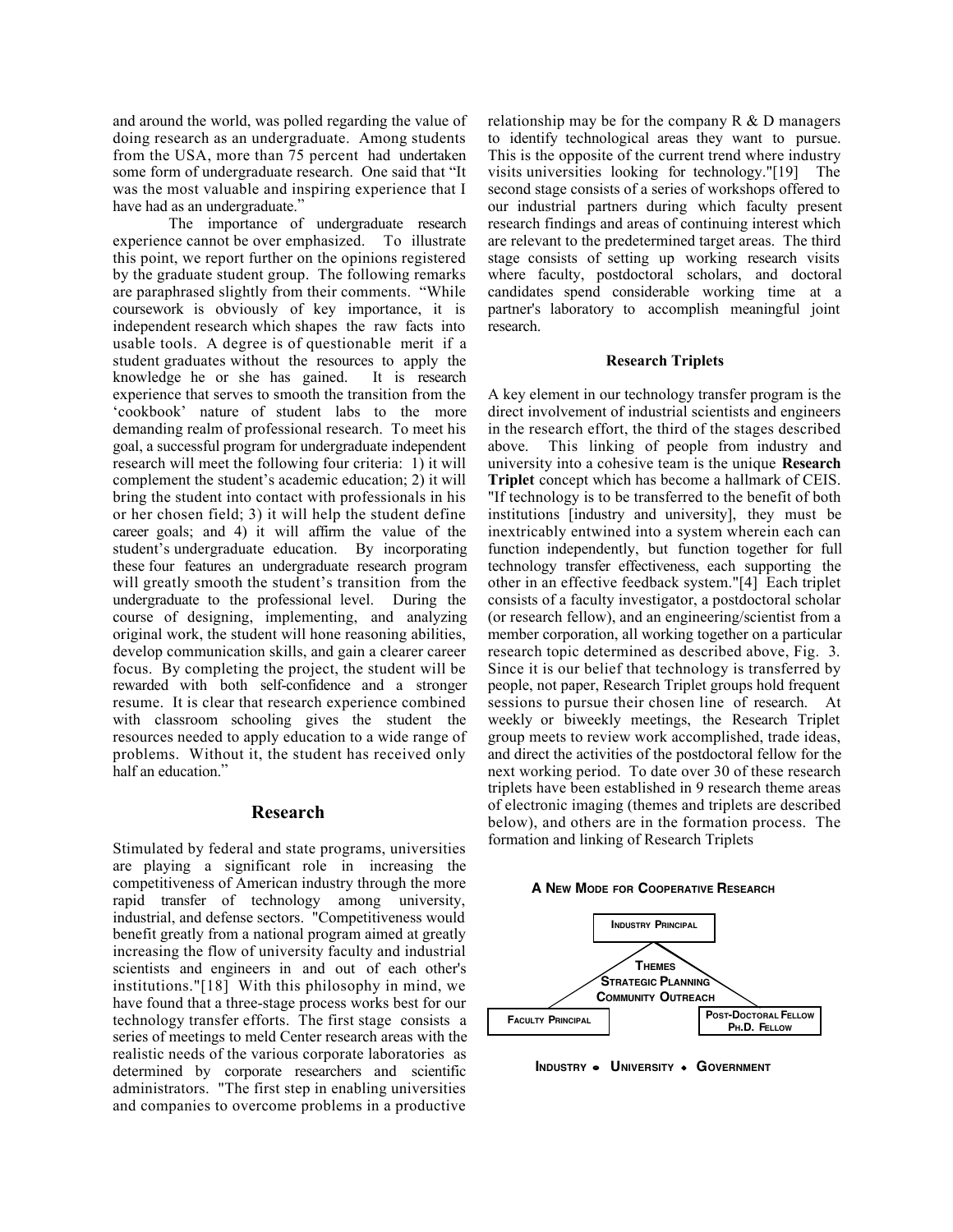and around the world, was polled regarding the value of doing research as an undergraduate. Among students from the USA, more than 75 percent had undertaken some form of undergraduate research. One said that "It was the most valuable and inspiring experience that I have had as an undergraduate."

The importance of undergraduate research experience cannot be over emphasized. To illustrate this point, we report further on the opinions registered by the graduate student group. The following remarks are paraphrased slightly from their comments. "While coursework is obviously of key importance, it is independent research which shapes the raw facts into usable tools. A degree is of questionable merit if a student graduates without the resources to apply the knowledge he or she has gained. It is research experience that serves to smooth the transition from the 'cookbook' nature of student labs to the more demanding realm of professional research. To meet his goal, a successful program for undergraduate independent research will meet the following four criteria: 1) it will complement the student's academic education; 2) it will bring the student into contact with professionals in his or her chosen field; 3) it will help the student define career goals; and 4) it will affirm the value of the student's undergraduate education. By incorporating these four features an undergraduate research program will greatly smooth the student's transition from the undergraduate to the professional level. During the course of designing, implementing, and analyzing original work, the student will hone reasoning abilities, develop communication skills, and gain a clearer career focus. By completing the project, the student will be rewarded with both self-confidence and a stronger resume. It is clear that research experience combined with classroom schooling gives the student the resources needed to apply education to a wide range of problems. Without it, the student has received only half an education."

#### **Research**

Stimulated by federal and state programs, universities are playing a significant role in increasing the competitiveness of American industry through the more rapid transfer of technology among university, industrial, and defense sectors. "Competitiveness would benefit greatly from a national program aimed at greatly increasing the flow of university faculty and industrial scientists and engineers in and out of each other's institutions."[18] With this philosophy in mind, we have found that a three-stage process works best for our technology transfer efforts. The first stage consists a series of meetings to meld Center research areas with the realistic needs of the various corporate laboratories as determined by corporate researchers and scientific administrators. "The first step in enabling universities and companies to overcome problems in a productive

relationship may be for the company  $R \& D$  managers to identify technological areas they want to pursue. This is the opposite of the current trend where industry visits universities looking for technology."[19] The second stage consists of a series of workshops offered to our industrial partners during which faculty present research findings and areas of continuing interest which are relevant to the predetermined target areas. The third stage consists of setting up working research visits where faculty, postdoctoral scholars, and doctoral candidates spend considerable working time at a partner's laboratory to accomplish meaningful joint research.

#### **Research Triplets**

A key element in our technology transfer program is the direct involvement of industrial scientists and engineers in the research effort, the third of the stages described above. This linking of people from industry and university into a cohesive team is the unique **Research Triplet** concept which has become a hallmark of CEIS. "If technology is to be transferred to the benefit of both institutions [industry and university], they must be inextricably entwined into a system wherein each can function independently, but function together for full technology transfer effectiveness, each supporting the other in an effective feedback system."[4] Each triplet consists of a faculty investigator, a postdoctoral scholar (or research fellow), and an engineering/scientist from a member corporation, all working together on a particular research topic determined as described above, Fig. 3. Since it is our belief that technology is transferred by people, not paper, Research Triplet groups hold frequent sessions to pursue their chosen line of research. At weekly or biweekly meetings, the Research Triplet group meets to review work accomplished, trade ideas, and direct the activities of the postdoctoral fellow for the next working period. To date over 30 of these research triplets have been established in 9 research theme areas of electronic imaging (themes and triplets are described below), and others are in the formation process. The formation and linking of Research Triplets

#### **A NEW MODE FOR COOPERATIVE RESEARCH**



**INDUSTRY . UNIVERSITY . GOVERNMENT**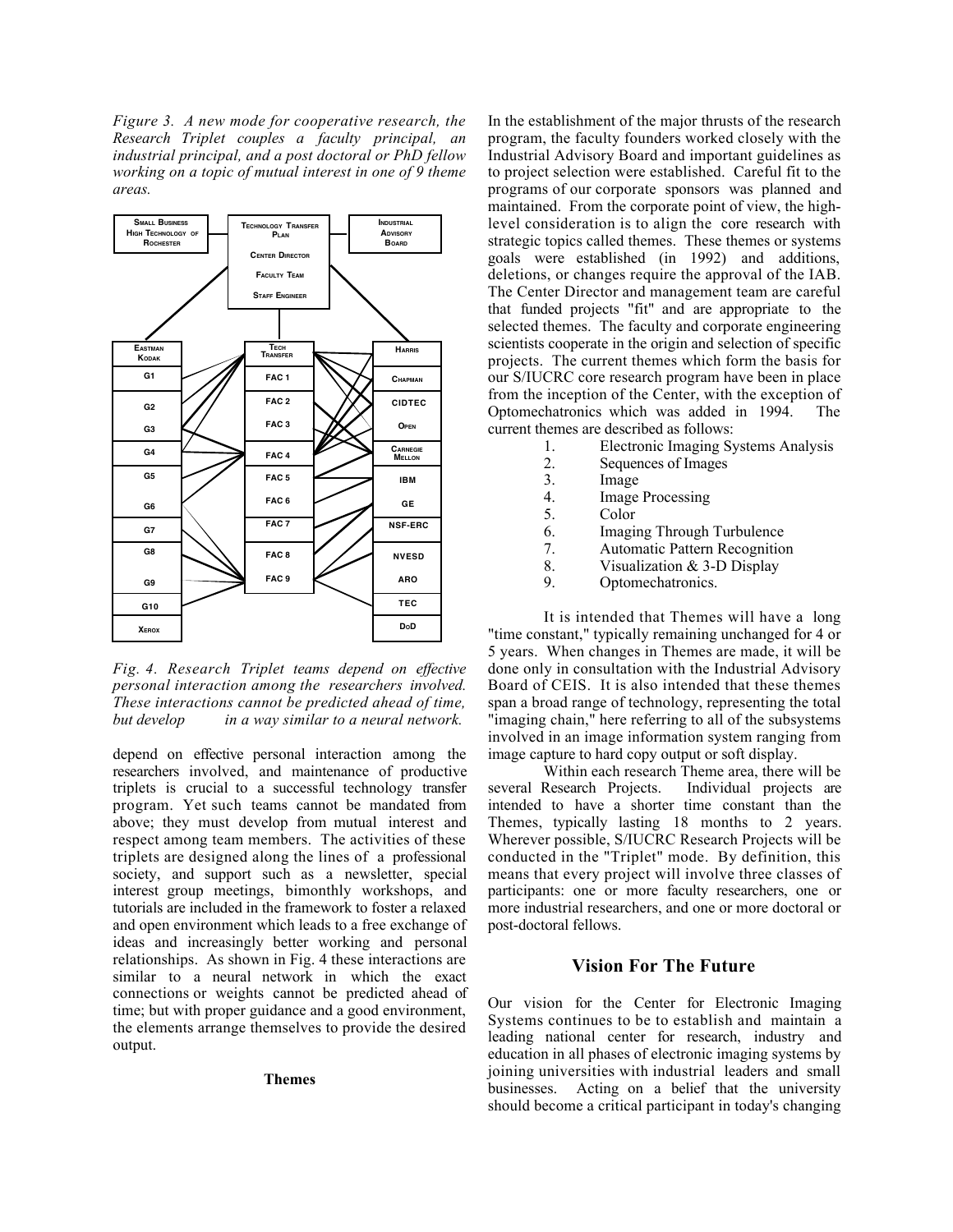*Figure 3. A new mode for cooperative research, the Research Triplet couples a faculty principal, an industrial principal, and a post doctoral or PhD fellow working on a topic of mutual interest in one of 9 theme areas.*



*Fig. 4. Research Triplet teams depend on effective personal interaction among the researchers involved. These interactions cannot be predicted ahead of time, but develop in a way similar to a neural network.*

depend on effective personal interaction among the researchers involved, and maintenance of productive triplets is crucial to a successful technology transfer program. Yet such teams cannot be mandated from above; they must develop from mutual interest and respect among team members. The activities of these triplets are designed along the lines of a professional society, and support such as a newsletter, special interest group meetings, bimonthly workshops, and tutorials are included in the framework to foster a relaxed and open environment which leads to a free exchange of ideas and increasingly better working and personal relationships. As shown in Fig. 4 these interactions are similar to a neural network in which the exact connections or weights cannot be predicted ahead of time; but with proper guidance and a good environment, the elements arrange themselves to provide the desired output.

#### **Themes**

In the establishment of the major thrusts of the research program, the faculty founders worked closely with the Industrial Advisory Board and important guidelines as to project selection were established. Careful fit to the programs of our corporate sponsors was planned and maintained. From the corporate point of view, the highlevel consideration is to align the core research with strategic topics called themes. These themes or systems goals were established (in 1992) and additions, deletions, or changes require the approval of the IAB. The Center Director and management team are careful that funded projects "fit" and are appropriate to the selected themes. The faculty and corporate engineering scientists cooperate in the origin and selection of specific projects. The current themes which form the basis for our S/IUCRC core research program have been in place from the inception of the Center, with the exception of Optomechatronics which was added in 1994. The current themes are described as follows:

- 1. Electronic Imaging Systems Analysis<br>2. Sequences of Images
- 2. Sequences of Images<br>3. Image
- **Image**
- 4. Image Processing<br>5. Color
- Color<sub>.</sub>
- 6. Imaging Through Turbulence
- 7. Automatic Pattern Recognition<br>8. Visualization & 3-D Display
- Visualization & 3-D Display
- 9. Optomechatronics.

It is intended that Themes will have a long "time constant," typically remaining unchanged for 4 or 5 years. When changes in Themes are made, it will be done only in consultation with the Industrial Advisory Board of CEIS. It is also intended that these themes span a broad range of technology, representing the total "imaging chain," here referring to all of the subsystems involved in an image information system ranging from image capture to hard copy output or soft display.

Within each research Theme area, there will be several Research Projects. Individual projects are intended to have a shorter time constant than the Themes, typically lasting 18 months to 2 years. Wherever possible, S/IUCRC Research Projects will be conducted in the "Triplet" mode. By definition, this means that every project will involve three classes of participants: one or more faculty researchers, one or more industrial researchers, and one or more doctoral or post-doctoral fellows.

## **Vision For The Future**

Our vision for the Center for Electronic Imaging Systems continues to be to establish and maintain a leading national center for research, industry and education in all phases of electronic imaging systems by joining universities with industrial leaders and small businesses. Acting on a belief that the university should become a critical participant in today's changing